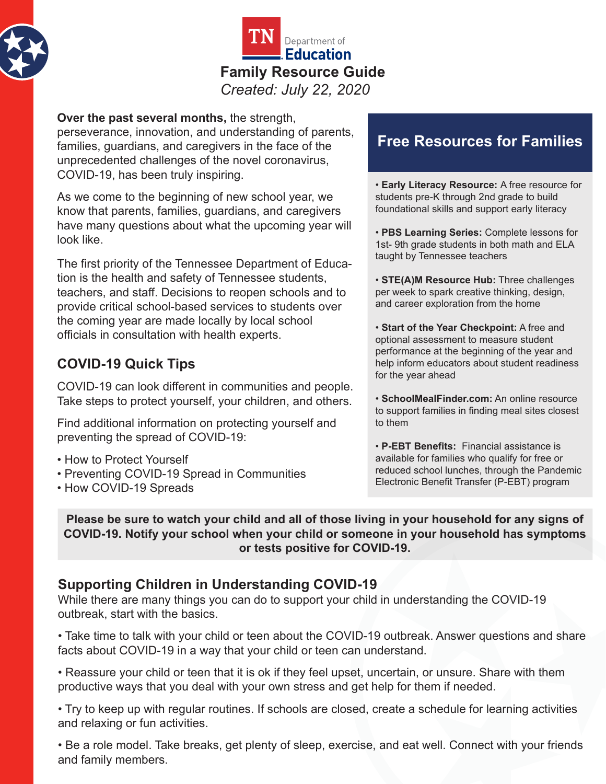



**Over the past several months,** the strength, perseverance, innovation, and understanding of parents, families, guardians, and caregivers in the face of the unprecedented challenges of the novel coronavirus, COVID-19, has been truly inspiring.

As we come to the beginning of new school year, we know that parents, families, guardians, and caregivers have many questions about what the upcoming year will look like.

The first priority of the Tennessee Department of Education is the health and safety of Tennessee students, teachers, and staff. Decisions to reopen schools and to provide critical school-based services to students over the coming year are made locally by local school officials in consultation with health experts.

#### **COVID-19 Quick Tips**

COVID-19 can look different in communities and people. Take steps to protect yourself, your children, and others.

Find additional information on protecting yourself and preventing the spread of COVID-19:

- • [How to Protect Yourself](https://www.cdc.gov/coronavirus/2019-ncov/prevent-getting-sick/prevention.html)
- • [Preventing COVID-19 Spread in Communities](https://www.cdc.gov/coronavirus/2019-ncov/community/index.html)
- • [How COVID-19 Spreads](https://www.cdc.gov/coronavirus/2019-ncov/prevent-getting-sick/how-covid-spreads.html)

# **Free Resources for Families**

• **Early Literacy Resource:** A free resource for students pre-K through 2nd grade to build foundational skills and support early literacy

• **PBS Learning Series:** Complete lessons for 1st- 9th grade students in both math and ELA taught by Tennessee teachers

• **STE(A)M Resource Hub:** Three challenges per week to spark creative thinking, design, and career exploration from the home

• **Start of the Year Checkpoint:** A free and optional assessment to measure student performance at the beginning of the year and help inform educators about student readiness for the year ahead

• **SchoolMealFinder.com:** An online resource to support families in finding meal sites closest to them

• **P-EBT Benefits:** Financial assistance is available for families who qualify for free or reduced school lunches, through the Pandemic Electronic Benefit Transfer (P-EBT) program

**Please be sure to watch your child and all of those living in your household for any signs of [COVID-19. Notify your school when your child or someone in your household has symptoms](https://www.cdc.gov/coronavirus/2019-ncov/symptoms-testing/symptoms.html)  or tests positive for COVID-19.**

#### **Supporting Children in Understanding COVID-19**

While there are many things you can do to support your child in understanding the COVID-19 outbreak, start with the basics.

• Take time to talk with your child or teen about the COVID-19 outbreak. Answer questions and share facts about COVID-19 in a way that your child or teen can understand.

• Reassure your child or teen that it is ok if they feel upset, uncertain, or unsure. Share with them productive ways that you deal with your own stress and get help for them if needed.

• Try to keep up with regular routines. If schools are closed, create a schedule for learning activities and relaxing or fun activities.

• Be a role model. Take breaks, get plenty of sleep, exercise, and eat well. Connect with your friends and family members.